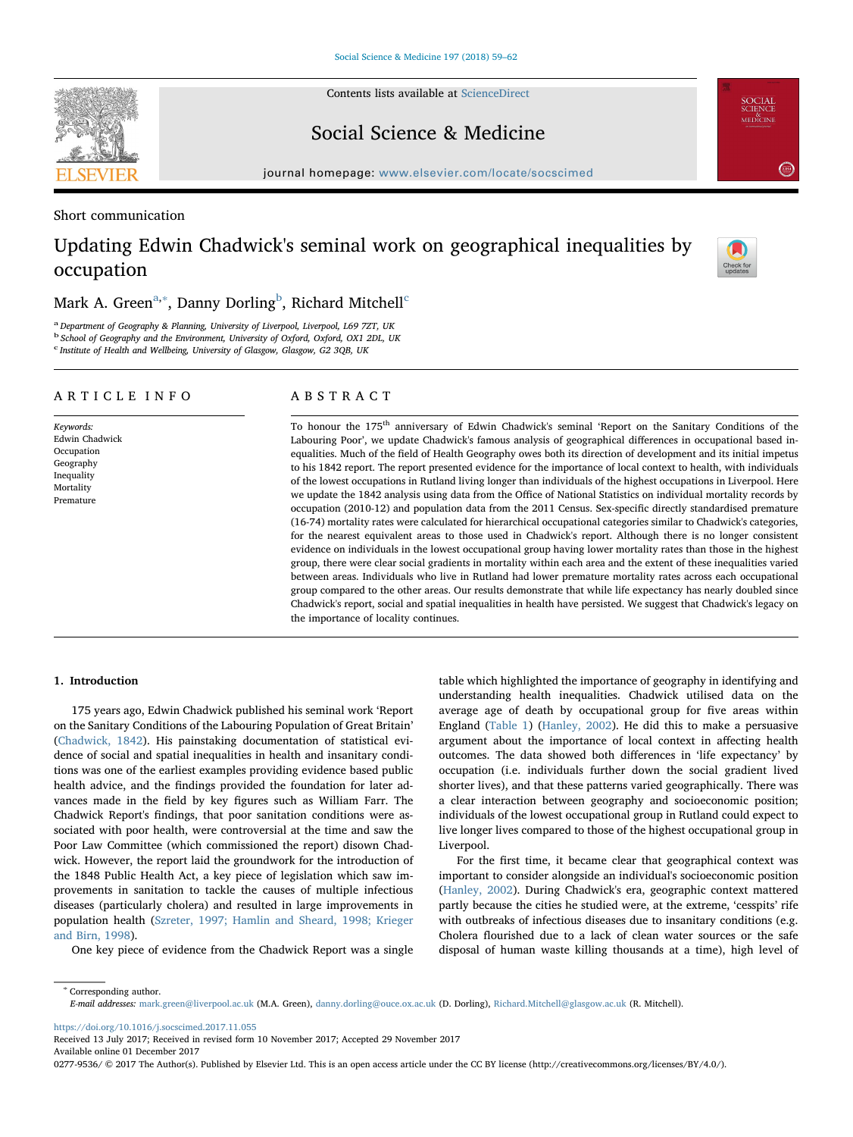Contents lists available at [ScienceDirect](http://www.sciencedirect.com/science/journal/02779536)

**SEVIER** 



journal homepage: [www.elsevier.com/locate/socscimed](https://www.elsevier.com/locate/socscimed)

Short communication

# Updating Edwin Chadwick's seminal work on geographical inequalities by occupation



**SOCIAL**<br>SCIENCE<br>MEDICINE

 $\left( \frac{2.814}{2.814} \right)$ 

# Mark A. Green<sup>[a,](#page-0-0)[∗](#page-0-1)</sup>, Danny Dorling<sup>[b](#page-0-2)</sup>, Ri[c](#page-0-3)hard Mitchell<sup>c</sup>

<span id="page-0-0"></span><sup>a</sup> Department of Geography & Planning, University of Liverpool, Liverpool, L69 7ZT, UK

<span id="page-0-3"></span><span id="page-0-2"></span><sup>b</sup> School of Geography and the Environment, University of Oxford, Oxford, OX1 2DL, UK c Institute of Health and Wellbeing, University of Glasgow, Glasgow, G2 3QB, UK

### ARTICLE INFO

Keywords: Edwin Chadwick Occupation Geography Inequality Mortality Premature

# ABSTRACT

To honour the 175th anniversary of Edwin Chadwick's seminal 'Report on the Sanitary Conditions of the Labouring Poor', we update Chadwick's famous analysis of geographical differences in occupational based inequalities. Much of the field of Health Geography owes both its direction of development and its initial impetus to his 1842 report. The report presented evidence for the importance of local context to health, with individuals of the lowest occupations in Rutland living longer than individuals of the highest occupations in Liverpool. Here we update the 1842 analysis using data from the Office of National Statistics on individual mortality records by occupation (2010-12) and population data from the 2011 Census. Sex-specific directly standardised premature (16-74) mortality rates were calculated for hierarchical occupational categories similar to Chadwick's categories, for the nearest equivalent areas to those used in Chadwick's report. Although there is no longer consistent evidence on individuals in the lowest occupational group having lower mortality rates than those in the highest group, there were clear social gradients in mortality within each area and the extent of these inequalities varied between areas. Individuals who live in Rutland had lower premature mortality rates across each occupational group compared to the other areas. Our results demonstrate that while life expectancy has nearly doubled since Chadwick's report, social and spatial inequalities in health have persisted. We suggest that Chadwick's legacy on the importance of locality continues.

#### 1. Introduction

175 years ago, Edwin Chadwick published his seminal work 'Report on the Sanitary Conditions of the Labouring Population of Great Britain' ([Chadwick, 1842\)](#page-3-0). His painstaking documentation of statistical evidence of social and spatial inequalities in health and insanitary conditions was one of the earliest examples providing evidence based public health advice, and the findings provided the foundation for later advances made in the field by key figures such as William Farr. The Chadwick Report's findings, that poor sanitation conditions were associated with poor health, were controversial at the time and saw the Poor Law Committee (which commissioned the report) disown Chadwick. However, the report laid the groundwork for the introduction of the 1848 Public Health Act, a key piece of legislation which saw improvements in sanitation to tackle the causes of multiple infectious diseases (particularly cholera) and resulted in large improvements in population health [\(Szreter, 1997; Hamlin and Sheard, 1998; Krieger](#page-3-1) [and Birn, 1998](#page-3-1)).

One key piece of evidence from the Chadwick Report was a single

table which highlighted the importance of geography in identifying and understanding health inequalities. Chadwick utilised data on the average age of death by occupational group for five areas within England ([Table 1](#page-1-0)) ([Hanley, 2002](#page-3-2)). He did this to make a persuasive argument about the importance of local context in affecting health outcomes. The data showed both differences in 'life expectancy' by occupation (i.e. individuals further down the social gradient lived shorter lives), and that these patterns varied geographically. There was a clear interaction between geography and socioeconomic position; individuals of the lowest occupational group in Rutland could expect to live longer lives compared to those of the highest occupational group in Liverpool.

For the first time, it became clear that geographical context was important to consider alongside an individual's socioeconomic position ([Hanley, 2002](#page-3-2)). During Chadwick's era, geographic context mattered partly because the cities he studied were, at the extreme, 'cesspits' rife with outbreaks of infectious diseases due to insanitary conditions (e.g. Cholera flourished due to a lack of clean water sources or the safe disposal of human waste killing thousands at a time), high level of

E-mail addresses: [mark.green@liverpool.ac.uk](mailto:mark.green@liverpool.ac.uk) (M.A. Green), [danny.dorling@ouce.ox.ac.uk](mailto:danny.dorling@ouce.ox.ac.uk) (D. Dorling), [Richard.Mitchell@glasgow.ac.uk](mailto:Richard.Mitchell@glasgow.ac.uk) (R. Mitchell).

<https://doi.org/10.1016/j.socscimed.2017.11.055>

<span id="page-0-1"></span><sup>∗</sup> Corresponding author.

Received 13 July 2017; Received in revised form 10 November 2017; Accepted 29 November 2017 Available online 01 December 2017

0277-9536/ @ 2017 The Author(s). Published by Elsevier Ltd. This is an open access article under the CC BY license (http://creativecommons.org/licenses/BY/4.0/).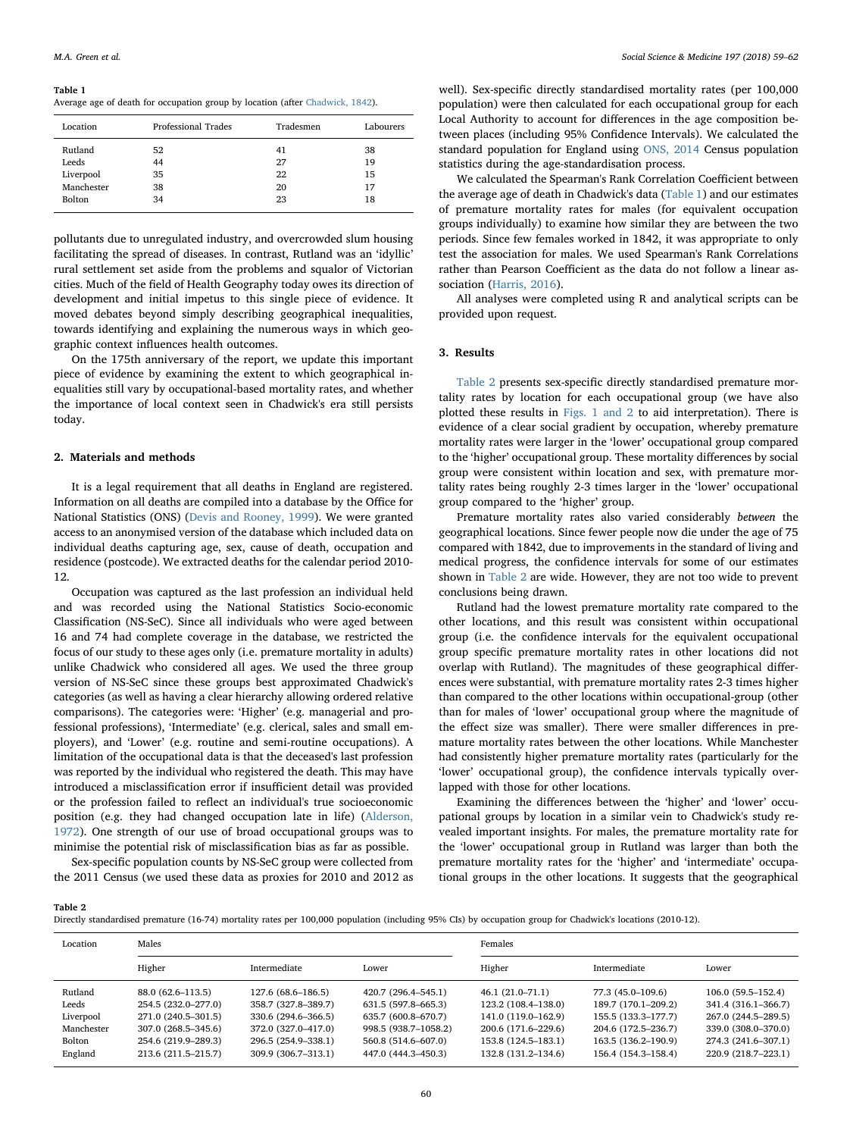#### <span id="page-1-0"></span>Table 1

Average age of death for occupation group by location (after [Chadwick, 1842\)](#page-3-0).

| Location      | Professional Trades | Tradesmen | Labourers |
|---------------|---------------------|-----------|-----------|
| Rutland       | 52                  | 41        | 38        |
| Leeds         | 44                  | 27        | 19        |
| Liverpool     | 35                  | 22        | 15        |
| Manchester    | 38                  | 20        | 17        |
| <b>Bolton</b> | 34                  | 23        | 18        |

pollutants due to unregulated industry, and overcrowded slum housing facilitating the spread of diseases. In contrast, Rutland was an 'idyllic' rural settlement set aside from the problems and squalor of Victorian cities. Much of the field of Health Geography today owes its direction of development and initial impetus to this single piece of evidence. It moved debates beyond simply describing geographical inequalities, towards identifying and explaining the numerous ways in which geographic context influences health outcomes.

On the 175th anniversary of the report, we update this important piece of evidence by examining the extent to which geographical inequalities still vary by occupational-based mortality rates, and whether the importance of local context seen in Chadwick's era still persists today.

#### 2. Materials and methods

It is a legal requirement that all deaths in England are registered. Information on all deaths are compiled into a database by the Office for National Statistics (ONS) [\(Devis and Rooney, 1999\)](#page-3-3). We were granted access to an anonymised version of the database which included data on individual deaths capturing age, sex, cause of death, occupation and residence (postcode). We extracted deaths for the calendar period 2010- 12.

Occupation was captured as the last profession an individual held and was recorded using the National Statistics Socio-economic Classification (NS-SeC). Since all individuals who were aged between 16 and 74 had complete coverage in the database, we restricted the focus of our study to these ages only (i.e. premature mortality in adults) unlike Chadwick who considered all ages. We used the three group version of NS-SeC since these groups best approximated Chadwick's categories (as well as having a clear hierarchy allowing ordered relative comparisons). The categories were: 'Higher' (e.g. managerial and professional professions), 'Intermediate' (e.g. clerical, sales and small employers), and 'Lower' (e.g. routine and semi-routine occupations). A limitation of the occupational data is that the deceased's last profession was reported by the individual who registered the death. This may have introduced a misclassification error if insufficient detail was provided or the profession failed to reflect an individual's true socioeconomic position (e.g. they had changed occupation late in life) [\(Alderson,](#page-3-4) [1972\)](#page-3-4). One strength of our use of broad occupational groups was to minimise the potential risk of misclassification bias as far as possible.

Sex-specific population counts by NS-SeC group were collected from the 2011 Census (we used these data as proxies for 2010 and 2012 as

well). Sex-specific directly standardised mortality rates (per 100,000 population) were then calculated for each occupational group for each Local Authority to account for differences in the age composition between places (including 95% Confidence Intervals). We calculated the standard population for England using [ONS, 2014](#page-3-5) Census population statistics during the age-standardisation process.

We calculated the Spearman's Rank Correlation Coefficient between the average age of death in Chadwick's data ([Table 1\)](#page-1-0) and our estimates of premature mortality rates for males (for equivalent occupation groups individually) to examine how similar they are between the two periods. Since few females worked in 1842, it was appropriate to only test the association for males. We used Spearman's Rank Correlations rather than Pearson Coefficient as the data do not follow a linear association ([Harris, 2016\)](#page-3-6).

All analyses were completed using R and analytical scripts can be provided upon request.

## 3. Results

[Table 2](#page-1-1) presents sex-specific directly standardised premature mortality rates by location for each occupational group (we have also plotted these results in [Figs. 1 and 2](#page-2-0) to aid interpretation). There is evidence of a clear social gradient by occupation, whereby premature mortality rates were larger in the 'lower' occupational group compared to the 'higher' occupational group. These mortality differences by social group were consistent within location and sex, with premature mortality rates being roughly 2-3 times larger in the 'lower' occupational group compared to the 'higher' group.

Premature mortality rates also varied considerably between the geographical locations. Since fewer people now die under the age of 75 compared with 1842, due to improvements in the standard of living and medical progress, the confidence intervals for some of our estimates shown in [Table 2](#page-1-1) are wide. However, they are not too wide to prevent conclusions being drawn.

Rutland had the lowest premature mortality rate compared to the other locations, and this result was consistent within occupational group (i.e. the confidence intervals for the equivalent occupational group specific premature mortality rates in other locations did not overlap with Rutland). The magnitudes of these geographical differences were substantial, with premature mortality rates 2-3 times higher than compared to the other locations within occupational-group (other than for males of 'lower' occupational group where the magnitude of the effect size was smaller). There were smaller differences in premature mortality rates between the other locations. While Manchester had consistently higher premature mortality rates (particularly for the 'lower' occupational group), the confidence intervals typically overlapped with those for other locations.

Examining the differences between the 'higher' and 'lower' occupational groups by location in a similar vein to Chadwick's study revealed important insights. For males, the premature mortality rate for the 'lower' occupational group in Rutland was larger than both the premature mortality rates for the 'higher' and 'intermediate' occupational groups in the other locations. It suggests that the geographical

<span id="page-1-1"></span>Table 2

Directly standardised premature (16-74) mortality rates per 100,000 population (including 95% CIs) by occupation group for Chadwick's locations (2010-12).

| Location   | Males               |                     |                      | Females             |                     |                     |
|------------|---------------------|---------------------|----------------------|---------------------|---------------------|---------------------|
|            | Higher              | Intermediate        | Lower                | Higher              | Intermediate        | Lower               |
| Rutland    | 88.0 (62.6–113.5)   | 127.6 (68.6–186.5)  | 420.7 (296.4–545.1)  | $46.1(21.0 - 71.1)$ | 77.3 (45.0–109.6)   | $106.0(59.5-152.4)$ |
| Leeds      | 254.5 (232.0–277.0) | 358.7 (327.8–389.7) | 631.5 (597.8–665.3)  | 123.2 (108.4–138.0) | 189.7 (170.1–209.2) | 341.4 (316.1–366.7) |
| Liverpool  | 271.0 (240.5–301.5) | 330.6 (294.6-366.5) | 635.7 (600.8–670.7)  | 141.0 (119.0–162.9) | 155.5 (133.3–177.7) | 267.0 (244.5–289.5) |
| Manchester | 307.0 (268.5–345.6) | 372.0 (327.0–417.0) | 998.5 (938.7–1058.2) | 200.6 (171.6–229.6) | 204.6 (172.5–236.7) | 339.0 (308.0-370.0) |
| Bolton     | 254.6 (219.9–289.3) | 296.5 (254.9-338.1) | 560.8 (514.6-607.0)  | 153.8 (124.5-183.1) | 163.5 (136.2–190.9) | 274.3 (241.6-307.1) |
| England    | 213.6 (211.5–215.7) | 309.9 (306.7-313.1) | 447.0 (444.3–450.3)  | 132.8 (131.2–134.6) | 156.4 (154.3–158.4) | 220.9 (218.7-223.1) |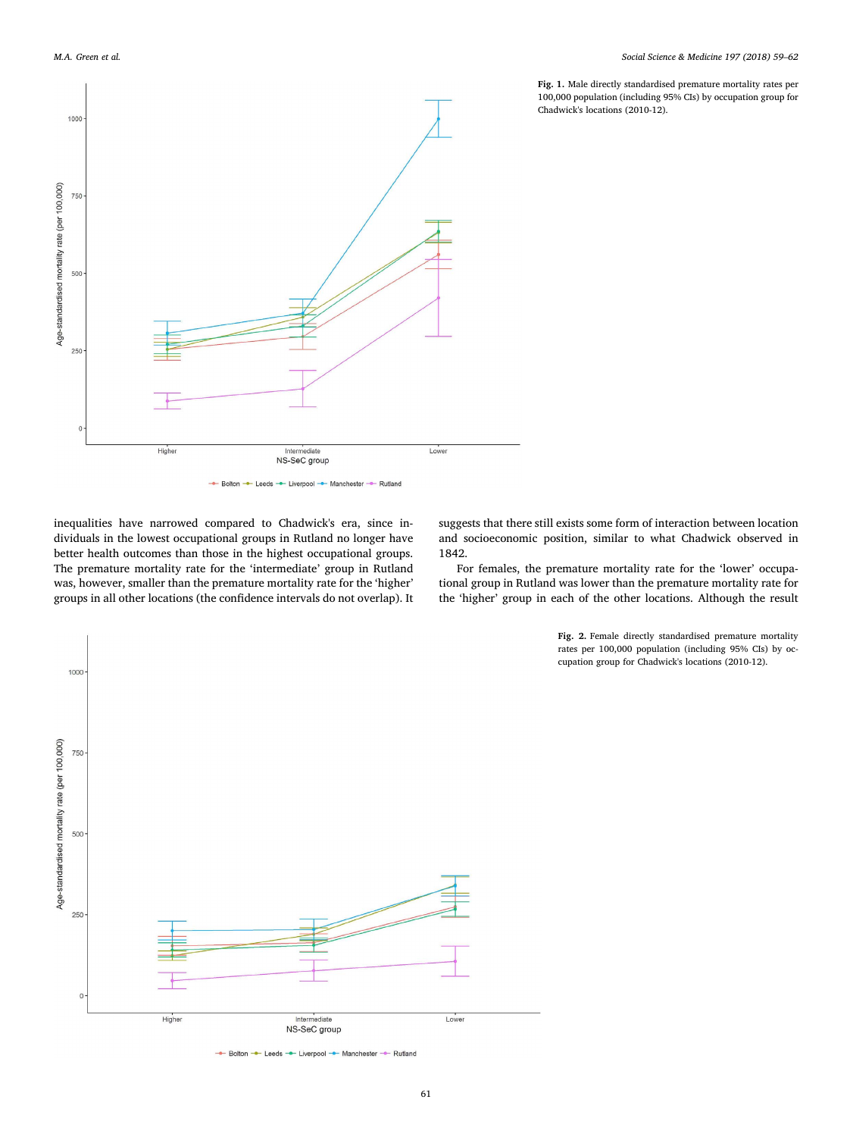1000

750

<span id="page-2-0"></span>

- Bolton - Leeds - Liverpool - Manchester - Rutland

inequalities have narrowed compared to Chadwick's era, since individuals in the lowest occupational groups in Rutland no longer have better health outcomes than those in the highest occupational groups. The premature mortality rate for the 'intermediate' group in Rutland was, however, smaller than the premature mortality rate for the 'higher' groups in all other locations (the confidence intervals do not overlap). It suggests that there still exists some form of interaction between location and socioeconomic position, similar to what Chadwick observed in 1842.

For females, the premature mortality rate for the 'lower' occupational group in Rutland was lower than the premature mortality rate for the 'higher' group in each of the other locations. Although the result

> Fig. 2. Female directly standardised premature mortality rates per 100,000 population (including 95% CIs) by occupation group for Chadwick's locations (2010-12).



Fig. 1. Male directly standardised premature mortality rates per 100,000 population (including 95% CIs) by occupation group for Chadwick's locations (2010-12).



<sup>-</sup> Bolton - Leeds - Liverpool - Manchester - Rutland